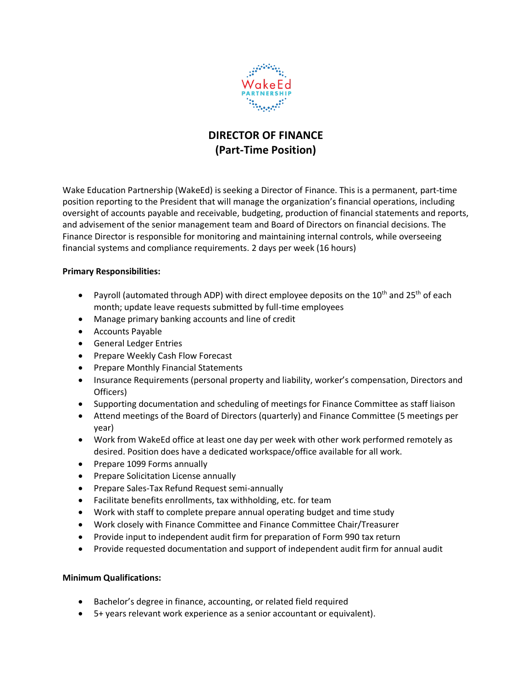

## **DIRECTOR OF FINANCE (Part-Time Position)**

Wake Education Partnership (WakeEd) is seeking a Director of Finance. This is a permanent, part-time position reporting to the President that will manage the organization's financial operations, including oversight of accounts payable and receivable, budgeting, production of financial statements and reports, and advisement of the senior management team and Board of Directors on financial decisions. The Finance Director is responsible for monitoring and maintaining internal controls, while overseeing financial systems and compliance requirements. 2 days per week (16 hours)

## **Primary Responsibilities:**

- Payroll (automated through ADP) with direct employee deposits on the  $10^{th}$  and  $25^{th}$  of each month; update leave requests submitted by full-time employees
- Manage primary banking accounts and line of credit
- Accounts Payable
- General Ledger Entries
- Prepare Weekly Cash Flow Forecast
- Prepare Monthly Financial Statements
- Insurance Requirements (personal property and liability, worker's compensation, Directors and Officers)
- Supporting documentation and scheduling of meetings for Finance Committee as staff liaison
- Attend meetings of the Board of Directors (quarterly) and Finance Committee (5 meetings per year)
- Work from WakeEd office at least one day per week with other work performed remotely as desired. Position does have a dedicated workspace/office available for all work.
- Prepare 1099 Forms annually
- Prepare Solicitation License annually
- Prepare Sales-Tax Refund Request semi-annually
- Facilitate benefits enrollments, tax withholding, etc. for team
- Work with staff to complete prepare annual operating budget and time study
- Work closely with Finance Committee and Finance Committee Chair/Treasurer
- Provide input to independent audit firm for preparation of Form 990 tax return
- Provide requested documentation and support of independent audit firm for annual audit

## **Minimum Qualifications:**

- Bachelor's degree in finance, accounting, or related field required
- 5+ years relevant work experience as a senior accountant or equivalent).